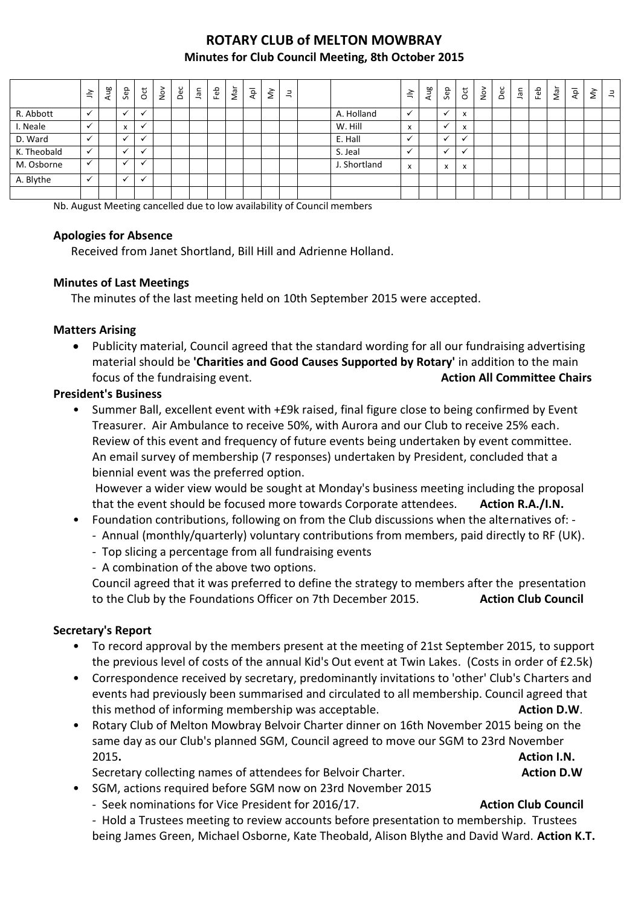# **ROTARY CLUB of MELTON MOWBRAY Minutes for Club Council Meeting, 8th October 2015**

|             | $\preceq$    | Aug | Sep                       | $\overline{5}$       | $\frac{5}{2}$ | Dec | Jan | Feb | Nar | Αpl | $\grave{\leq}$ | $\exists$ |              | $\leq$                                | Aug | Sep                           | $\overline{c}$           | $\sum_{i=1}^{n}$ | Dec | ۹Ē | Feb | Nar | $\overline{\mathsf{A}\mathsf{p}}$ | $\check{\varepsilon}$ | $\exists$ |
|-------------|--------------|-----|---------------------------|----------------------|---------------|-----|-----|-----|-----|-----|----------------|-----------|--------------|---------------------------------------|-----|-------------------------------|--------------------------|------------------|-----|----|-----|-----|-----------------------------------|-----------------------|-----------|
| R. Abbott   |              |     |                           | $\checkmark$         |               |     |     |     |     |     |                |           | A. Holland   |                                       |     |                               | $\overline{\phantom{a}}$ |                  |     |    |     |     |                                   |                       |           |
| I. Neale    |              |     | $\mathbf{v}$<br>$\lambda$ | v                    |               |     |     |     |     |     |                |           | W. Hill      | $\overline{\phantom{a}}$<br>$\lambda$ |     |                               | $\overline{\phantom{a}}$ |                  |     |    |     |     |                                   |                       |           |
| D. Ward     |              |     |                           | v                    |               |     |     |     |     |     |                |           | E. Hall      |                                       |     |                               |                          |                  |     |    |     |     |                                   |                       |           |
| K. Theobald | $\checkmark$ |     |                           | $\mathbf{v}$         |               |     |     |     |     |     |                |           | S. Jeal      |                                       |     |                               |                          |                  |     |    |     |     |                                   |                       |           |
| M. Osborne  |              |     |                           | $\ddot{\phantom{0}}$ |               |     |     |     |     |     |                |           | J. Shortland | x                                     |     | $\overline{\phantom{a}}$<br>v | X                        |                  |     |    |     |     |                                   |                       |           |
| A. Blythe   | $\checkmark$ |     | $\checkmark$              | $\checkmark$         |               |     |     |     |     |     |                |           |              |                                       |     |                               |                          |                  |     |    |     |     |                                   |                       |           |
|             |              |     |                           |                      |               |     |     |     |     |     |                |           |              |                                       |     |                               |                          |                  |     |    |     |     |                                   |                       |           |

Nb. August Meeting cancelled due to low availability of Council members

#### **Apologies for Absence**

Received from Janet Shortland, Bill Hill and Adrienne Holland.

## **Minutes of Last Meetings**

The minutes of the last meeting held on 10th September 2015 were accepted.

#### **Matters Arising**

 Publicity material, Council agreed that the standard wording for all our fundraising advertising material should be **'Charities and Good Causes Supported by Rotary'** in addition to the main focus of the fundraising event. **Action All Committee Chairs Action All Committee Chairs** 

#### **President's Business**

• Summer Ball, excellent event with +£9k raised, final figure close to being confirmed by Event Treasurer. Air Ambulance to receive 50%, with Aurora and our Club to receive 25% each. Review of this event and frequency of future events being undertaken by event committee. An email survey of membership (7 responses) undertaken by President, concluded that a biennial event was the preferred option.

However a wider view would be sought at Monday's business meeting including the proposal that the event should be focused more towards Corporate attendees. **Action R.A./I.N.**

- Foundation contributions, following on from the Club discussions when the alternatives of:
	- Annual (monthly/quarterly) voluntary contributions from members, paid directly to RF (UK).
	- Top slicing a percentage from all fundraising events
	- A combination of the above two options.

Council agreed that it was preferred to define the strategy to members after the presentation to the Club by the Foundations Officer on 7th December 2015. **Action Club Council**

## **Secretary's Report**

- To record approval by the members present at the meeting of 21st September 2015, to support the previous level of costs of the annual Kid's Out event at Twin Lakes. (Costs in order of £2.5k)
- Correspondence received by secretary, predominantly invitations to 'other' Club's Charters and events had previously been summarised and circulated to all membership. Council agreed that this method of informing membership was acceptable. **Action D.W. Action D.W.**
- Rotary Club of Melton Mowbray Belvoir Charter dinner on 16th November 2015 being on the same day as our Club's planned SGM, Council agreed to move our SGM to 23rd November 2015**. Action I.N.**

Secretary collecting names of attendees for Belvoir Charter. **Action D.W** Action D.W

- SGM, actions required before SGM now on 23rd November 2015
	- Seek nominations for Vice President for 2016/17. **Action Club Council Action Club Council**

- Hold a Trustees meeting to review accounts before presentation to membership. Trustees being James Green, Michael Osborne, Kate Theobald, Alison Blythe and David Ward. **Action K.T.**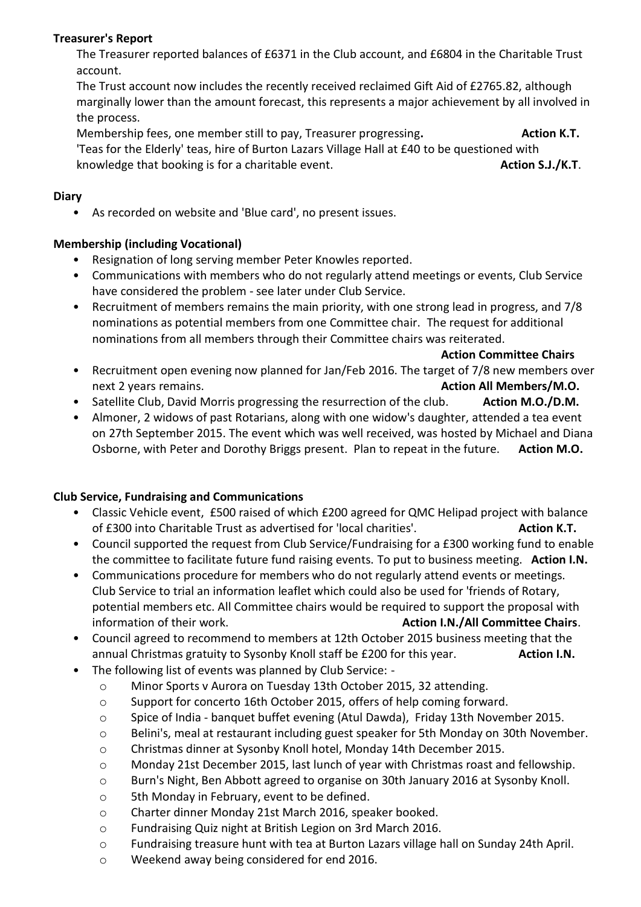# **Treasurer's Report**

The Treasurer reported balances of £6371 in the Club account, and £6804 in the Charitable Trust account.

The Trust account now includes the recently received reclaimed Gift Aid of £2765.82, although marginally lower than the amount forecast, this represents a major achievement by all involved in the process.

Membership fees, one member still to pay, Treasurer progressing**. Action K.T.**

'Teas for the Elderly' teas, hire of Burton Lazars Village Hall at £40 to be questioned with knowledge that booking is for a charitable event. **Action S.J./K.T.** Action S.J./K.T.

# **Diary**

• As recorded on website and 'Blue card', no present issues.

# **Membership (including Vocational)**

- Resignation of long serving member Peter Knowles reported.
- Communications with members who do not regularly attend meetings or events, Club Service have considered the problem - see later under Club Service.
- Recruitment of members remains the main priority, with one strong lead in progress, and 7/8 nominations as potential members from one Committee chair. The request for additional nominations from all members through their Committee chairs was reiterated.

**Action Committee Chairs**

- Recruitment open evening now planned for Jan/Feb 2016. The target of 7/8 new members over next 2 years remains. **Action All Members/M.O.**
- Satellite Club, David Morris progressing the resurrection of the club. **Action M.O./D.M.**
- Almoner, 2 widows of past Rotarians, along with one widow's daughter, attended a tea event on 27th September 2015. The event which was well received, was hosted by Michael and Diana Osborne, with Peter and Dorothy Briggs present. Plan to repeat in the future. Action M.O.

# **Club Service, Fundraising and Communications**

- Classic Vehicle event, £500 raised of which £200 agreed for QMC Helipad project with balance of £300 into Charitable Trust as advertised for 'local charities'. **Action K.T.**
- Council supported the request from Club Service/Fundraising for a £300 working fund to enable the committee to facilitate future fund raising events. To put to business meeting. **Action I.N.**
- Communications procedure for members who do not regularly attend events or meetings. Club Service to trial an information leaflet which could also be used for 'friends of Rotary, potential members etc. All Committee chairs would be required to support the proposal with information of their work. **Action I.N./All Committee Chairs**.
- Council agreed to recommend to members at 12th October 2015 business meeting that the annual Christmas gratuity to Sysonby Knoll staff be £200 for this year. **Action I.N.**
- The following list of events was planned by Club Service:
	- o Minor Sports v Aurora on Tuesday 13th October 2015, 32 attending.
	- o Support for concerto 16th October 2015, offers of help coming forward.
	- o Spice of India banquet buffet evening (Atul Dawda), Friday 13th November 2015.
	- o Belini's, meal at restaurant including guest speaker for 5th Monday on 30th November.
	- o Christmas dinner at Sysonby Knoll hotel, Monday 14th December 2015.
	- o Monday 21st December 2015, last lunch of year with Christmas roast and fellowship.
	- o Burn's Night, Ben Abbott agreed to organise on 30th January 2016 at Sysonby Knoll.
	- o 5th Monday in February, event to be defined.
	- o Charter dinner Monday 21st March 2016, speaker booked.
	- o Fundraising Quiz night at British Legion on 3rd March 2016.
	- o Fundraising treasure hunt with tea at Burton Lazars village hall on Sunday 24th April.
	- o Weekend away being considered for end 2016.